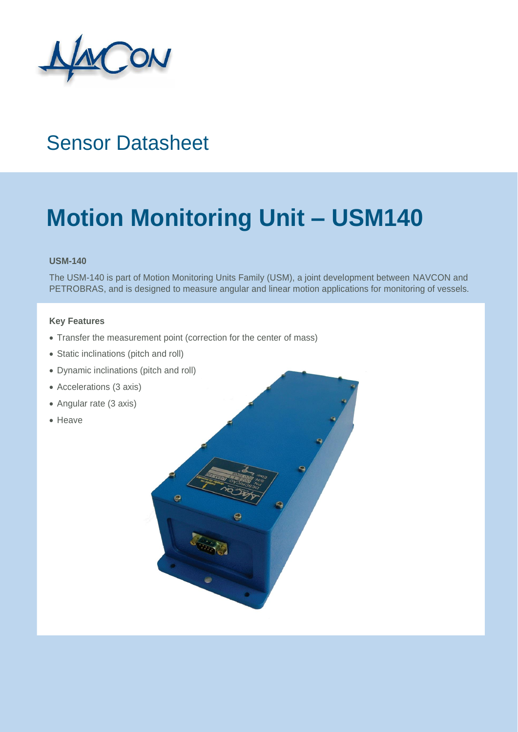

### Sensor Datasheet

## **Motion Monitoring Unit – USM140**

#### **USM-140**

The USM-140 is part of Motion Monitoring Units Family (USM), a joint development between NAVCON and PETROBRAS, and is designed to measure angular and linear motion applications for monitoring of vessels.

### **Key Features**

- Transfer the measurement point (correction for the center of mass)
- Static inclinations (pitch and roll)
- Dynamic inclinations (pitch and roll)
- Accelerations (3 axis)
- Angular rate (3 axis)
- Heave